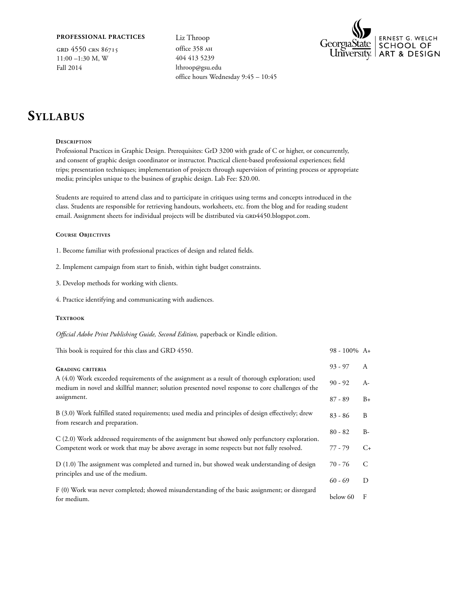## **Professional Practices**

grd 4550 crn 86715 11:00 –1:30 M, W Fall 2014

Liz Throop office 358 AH 404 413 5239 lthroop@gsu.edu office hours Wednesday 9:45 – 10:45



## **Syllabus**

### **Description**

Professional Practices in Graphic Design. Prerequisites: GrD 3200 with grade of C or higher, or concurrently, and consent of graphic design coordinator or instructor. Practical client-based professional experiences; field trips; presentation techniques; implementation of projects through supervision of printing process or appropriate media; principles unique to the business of graphic design. Lab Fee: \$20.00.

Students are required to attend class and to participate in critiques using terms and concepts introduced in the class. Students are responsible for retrieving handouts, worksheets, etc. from the blog and for reading student email. Assignment sheets for individual projects will be distributed via GRD4450.blogspot.com.

### **Course Objectives**

- 1. Become familiar with professional practices of design and related fields.
- 2. Implement campaign from start to finish, within tight budget constraints.
- 3. Develop methods for working with clients.
- 4. Practice identifying and communicating with audiences.

## TEXTBOOK

*Official Adobe Print Publishing Guide, Second Edition,* paperback or Kindle edition.

| This book is required for this class and GRD 4550.                                                                                                                                                 | $98 - 100\%$ A+ |                       |
|----------------------------------------------------------------------------------------------------------------------------------------------------------------------------------------------------|-----------------|-----------------------|
| <b>GRADING CRITERIA</b>                                                                                                                                                                            | $93 - 97$       | $\mathsf{A}$          |
| A (4.0) Work exceeded requirements of the assignment as a result of thorough exploration; used<br>medium in novel and skillful manner; solution presented novel response to core challenges of the | $90 - 92$       | $A-$                  |
| assignment.                                                                                                                                                                                        | $87 - 89$       | $B+$                  |
| B (3.0) Work fulfilled stated requirements; used media and principles of design effectively; drew<br>from research and preparation.                                                                | $83 - 86$       | B                     |
| C (2.0) Work addressed requirements of the assignment but showed only perfunctory exploration.                                                                                                     | $80 - 82$       | $B -$                 |
| Competent work or work that may be above average in some respects but not fully resolved.                                                                                                          | 77 - 79         | $C_{\pm}$             |
| D (1.0) The assignment was completed and turned in, but showed weak understanding of design<br>principles and use of the medium.                                                                   | 70 - 76         | $\mathcal{C}_{\cdot}$ |
|                                                                                                                                                                                                    | $60 - 69$       | D                     |
| F (0) Work was never completed; showed misunderstanding of the basic assignment; or disregard<br>for medium.                                                                                       | below 60        | F                     |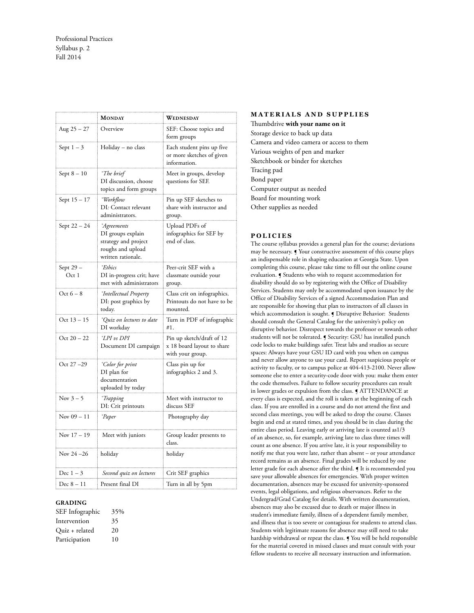|                       | MONDAY                                                                                              | WEDNESDAY                                                                   |
|-----------------------|-----------------------------------------------------------------------------------------------------|-----------------------------------------------------------------------------|
| Aug $25 - 27$         | Overview                                                                                            | SEF: Choose topics and<br>form groups                                       |
| Sept $1-3$            | Holiday – no class                                                                                  | Each student pins up five<br>or more sketches of given<br>information.      |
| Sept $8-10$           | °The brief<br>DI discussion, choose<br>topics and form groups                                       | Meet in groups, develop<br>questions for SEF.                               |
| Sept 15 – 17          | °Workflow<br>DI: Contact relevant<br>administrators.                                                | Pin up SEF sketches to<br>share with instructor and<br>group.               |
| Sept 22 - 24          | °Agreements<br>DI groups explain<br>strategy and project<br>roughs and upload<br>written rationale. | Upload PDFs of<br>infographics for SEF by<br>end of class.                  |
| Sept 29 -<br>Oct 1    | °Ethics<br>DI in-progress crit; have<br>met with administrators                                     | Peer-crit SEF with a<br>classmate outside your<br>group.                    |
| Oct $6-8$             | <sup>°</sup> Intellectual Property<br>DI: post graphics by<br>today.                                | Class crit on infographics.<br>Printouts do not have to be<br>mounted.      |
| Oct $13 - 15$         | °Quiz on lectures to date<br>DI workday                                                             | Turn in PDF of infographic<br>#1.                                           |
| Oct $20 - 22$         | °LPI vs DPI<br>Document DI campaign                                                                 | Pin up sketch/draft of 12<br>x 18 board layout to share<br>with your group. |
| Oct 27 - 29           | <i>Color for print</i><br>DI plan for<br>documentation<br>uploaded by today                         | Class pin up for<br>infographics 2 and 3.                                   |
| Nov $3-5$             | °Trapping<br>DI: Crit printouts                                                                     | Meet with instructor to<br>discuss SEF                                      |
| Nov $09 - 11$         | °Paper                                                                                              | Photography day                                                             |
| Nov $17 - 19$         | Meet with juniors                                                                                   | Group leader presents to<br>class.                                          |
| Nov 24 -26            | holiday                                                                                             | holiday                                                                     |
| Dec $1-3$<br>$\cdots$ | Second quiz on lectures                                                                             | Crit SEF graphics                                                           |
| Dec 8 – 11            | Present final DI                                                                                    | Turn in all by 5pm                                                          |

#### **GRADING**

| SEF Infographic | 35% |
|-----------------|-----|
| Intervention    | 35  |
| Quiz + related  | 20  |
| Participation   | 10  |

### **MATERIALS AND SUPPLIES**

Thumbdrive **with your name on it** Storage device to back up data Camera and video camera or access to them Various weights of pen and marker Sketchbook or binder for sketches Tracing pad Bond paper Computer output as needed Board for mounting work Other supplies as needed

## **P o li c ies**

The course syllabus provides a general plan for the course; deviations may be necessary. ¶ Your constructive assessment of this course plays an indispensable role in shaping education at Georgia State. Upon completing this course, please take time to fill out the online course evaluation. ¶ Students who wish to request accommodation for disability should do so by registering with the Office of Disability Services. Students may only be accommodated upon issuance by the Office of Disability Services of a signed Accommodation Plan and are responsible for showing that plan to instructors of all classes in which accommodation is sought. *[Disruptive Behavior: Students* should consult the General Catalog for the university's policy on disruptive behavior. Disrespect towards the professor or towards other students will not be tolerated. ¶ Security: GSU has installed punch code locks to make buildings safer. Treat labs and studios as secure spaces: Always have your GSU ID card with you when on campus and never allow anyone to use your card. Report suspicious people or activity to faculty, or to campus police at 404-413-2100. Never allow someone else to enter a security-code door with you: make them enter the code themselves. Failure to follow security procedures can result in lower grades or expulsion from the class. **J** ATTENDANCE at every class is expected, and the roll is taken at the beginning of each class. If you are enrolled in a course and do not attend the first and second class meetings, you will be asked to drop the course. Classes begin and end at stated times, and you should be in class during the entire class period. Leaving early or arriving late is counted as1/3 of an absence, so, for example, arriving late to class three times will count as one absence. If you arrive late, it is your responsibility to notify me that you were late, rather than absent – or your attendance record remains as an absence. Final grades will be reduced by one letter grade for each absence after the third. ¶ It is recommended you save your allowable absences for emergencies. With proper written documentation, absences may be excused for university-sponsored events, legal obligations, and religious observances. Refer to the Undergrad/Grad Catalog for details. With written documentation, absences may also be excused due to death or major illness in student's immediate family, illness of a dependent family member, and illness that is too severe or contagious for students to attend class. Students with legitimate reasons for absence may still need to take hardship withdrawal or repeat the class. ¶ You will be held responsible for the material covered in missed classes and must consult with your fellow students to receive all necessary instruction and information.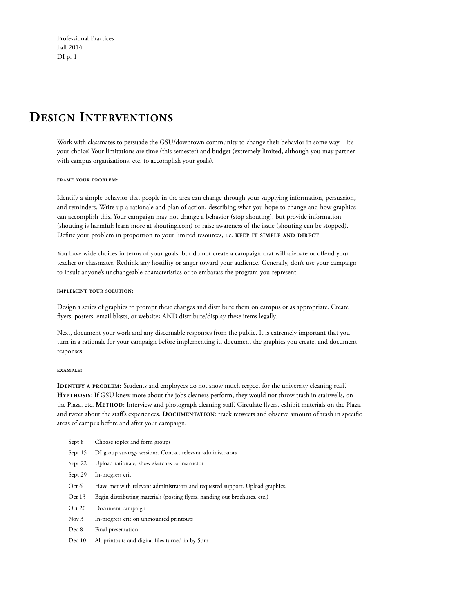## **Design Interventions**

Work with classmates to persuade the GSU/downtown community to change their behavior in some way – it's your choice! Your limitations are time (this semester) and budget (extremely limited, although you may partner with campus organizations, etc. to accomplish your goals).

## **frame your problem:**

Identify a simple behavior that people in the area can change through your supplying information, persuasion, and reminders. Write up a rationale and plan of action, describing what you hope to change and how graphics can accomplish this. Your campaign may not change a behavior (stop shouting), but provide information (shouting is harmful; learn more at shouting.com) or raise awareness of the issue (shouting can be stopped). Define your problem in proportion to your limited resources, i.e. **keep it simple and direct**.

You have wide choices in terms of your goals, but do not create a campaign that will alienate or offend your teacher or classmates. Rethink any hostility or anger toward your audience. Generally, don't use your campaign to insult anyone's unchangeable characteristics or to embarass the program you represent.

## **implement your solution:**

Design a series of graphics to prompt these changes and distribute them on campus or as appropriate. Create flyers, posters, email blasts, or websites AND distribute/display these items legally.

Next, document your work and any discernable responses from the public. It is extremely important that you turn in a rationale for your campaign before implementing it, document the graphics you create, and document responses.

#### **example:**

**IDENTIFY A PROBLEM:** Students and employees do not show much respect for the university cleaning staff. **Hypthosis**: If GSU knew more about the jobs cleaners perform, they would not throw trash in stairwells, on the Plaza, etc. **Method**: Interview and photograph cleaning staff. Circulate flyers, exhibit materials on the Plaza, and tweet about the staff's experiences. **Documentation**: track retweets and observe amount of trash in specific areas of campus before and after your campaign.

- Sept 8 Choose topics and form groups
- Sept 15 DI group strategy sessions. Contact relevant administrators
- Sept 22 Upload rationale, show sketches to instructor
- Sept 29 In-progress crit
- Oct 6 Have met with relevant administrators and requested support. Upload graphics.
- Oct 13 Begin distributing materials (posting flyers, handing out brochures, etc.)
- Oct 20 Document campaign
- Nov 3 In-progress crit on unmounted printouts
- Dec 8 Final presentation
- Dec 10 All printouts and digital files turned in by 5pm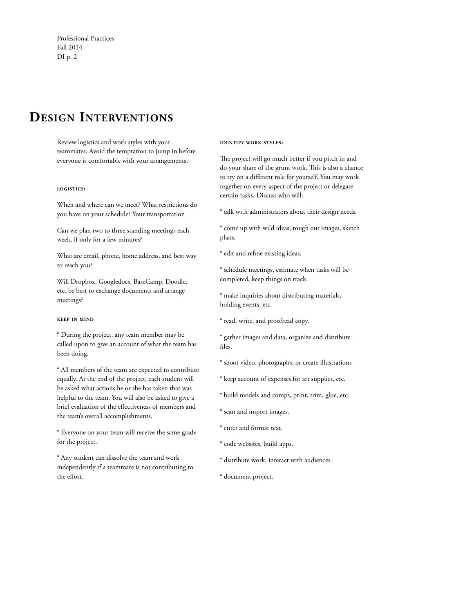## **Design Interventions**

Review logistics and work styles with your teammates. Avoid the temptation to jump in before everyone is comfortable with your arrangements.

## **logistics:**

When and where can we meet? What restrictions do you have on your schedule? Your transportation

Can we plan two to three standing meetings each week, if only for a few minutes?

What are email, phone, home address, and best way to reach you?

Will Dropbox, Googledocs, BaseCamp, Doodle, etc. be best to exchange documents and arrange meetings?

## **keep in mind**

° During the project, any team member may be called upon to give an account of what the team has been doing.

° All members of the team are expected to contribute equally. At the end of the project, each student will be asked what actions he or she has taken that was helpful to the team. You will also be asked to give a brief evaluation of the effectiveness of members and the team's overall accomplishments.

° Everyone on your team will receive the same grade for the project.

° Any student can dissolve the team and work independently if a teammate is not contributing to the effort.

#### **identify work styles:**

The project will go much better if you pitch in and do your share of the grunt work. This is also a chance to try on a different role for yourself. You may work together on every aspect of the project or delegate certain tasks. Discuss who will:

° talk with administrators about their design needs.

° come up with wild ideas; rough out images, sketch plans.

° edit and refine existing ideas.

° schedule meetings, estimate when tasks will be completed, keep things on track.

° make inquiries about distributing materials, holding events, etc.

° read, write, and proofread copy.

° gather images and data, organize and distribute files.

- ° shoot video, photographs, or create illustrations
- ° keep account of expenses for art supplies, etc.
- ° build models and comps, print, trim, glue, etc.
- ° scan and import images.
- ° enter and format text.
- ° code websites, build apps.
- ° distribute work, interact with audiences.
- ° document project.